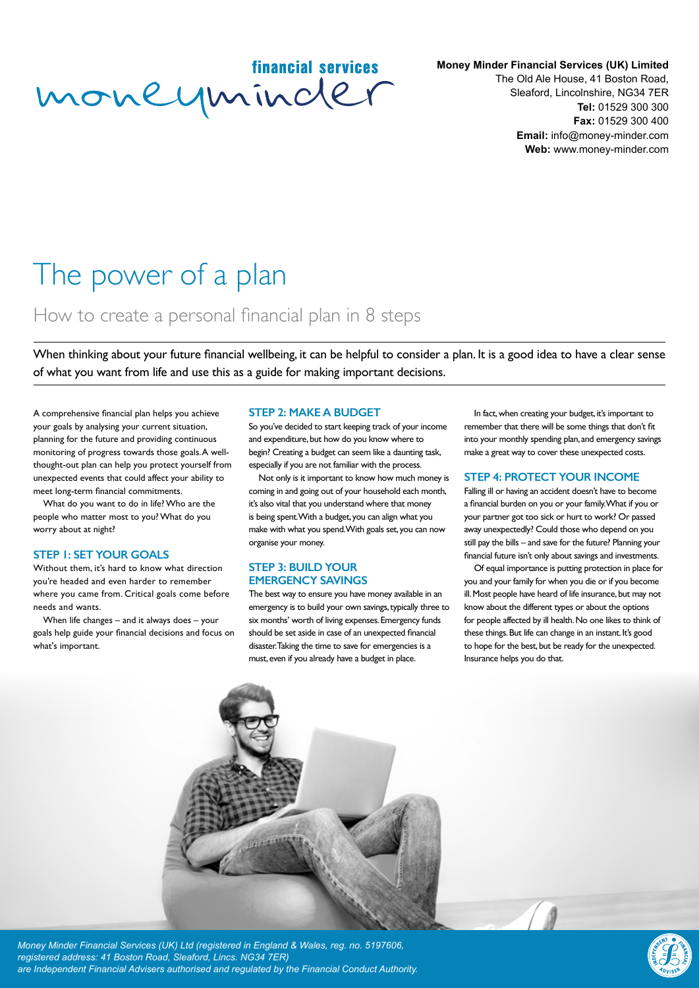financial services moneyminder

**Money Minder Financial Services (UK) Limited**

The Old Ale House, 41 Boston Road, Sleaford, Lincolnshire, NG34 7ER **Tel:** 01529 300 300 **Fax:** 01529 300 400 **Email:** info@money-minder.com **Web:** www.money-minder.com

# The power of a plan

## How to create a personal financial plan in 8 steps

When thinking about your future financial wellbeing, it can be helpful to consider a plan. It is a good idea to have a clear sense of what you want from life and use this as a guide for making important decisions.

A comprehensive financial plan helps you achieve your goals by analysing your current situation, planning for the future and providing continuous monitoring of progress towards those goals. A wellthought-out plan can help you protect yourself from unexpected events that could affect your ability to meet long-term financial commitments.

What do you want to do in life? Who are the people who matter most to you? What do you worry about at night?

#### **STEP 1: SET YOUR GOALS**

Without them, it's hard to know what direction you're headed and even harder to remember where you came from. Critical goals come before needs and wants.

When life changes – and it always does – your goals help guide your financial decisions and focus on what's important.

#### **STEP 2: MAKE A BUDGET**

So you've decided to start keeping track of your income and expenditure, but how do you know where to begin? Creating a budget can seem like a daunting task, especially if you are not familiar with the process.

Not only is it important to know how much money is coming in and going out of your household each month, it's also vital that you understand where that money is being spent. With a budget, you can align what you make with what you spend. With goals set, you can now organise your money.

#### **STEP 3: BUILD YOUR EMERGENCY SAVINGS**

The best way to ensure you have money available in an emergency is to build your own savings, typically three to six months' worth of living expenses. Emergency funds should be set aside in case of an unexpected financial disaster. Taking the time to save for emergencies is a must, even if you already have a budget in place.

In fact, when creating your budget, it's important to remember that there will be some things that don't fit into your monthly spending plan, and emergency savings make a great way to cover these unexpected costs.

#### **STEP 4: PROTECT YOUR INCOME**

Falling ill or having an accident doesn't have to become a financial burden on you or your family. What if you or your partner got too sick or hurt to work? Or passed away unexpectedly? Could those who depend on you still pay the bills – and save for the future? Planning your financial future isn't only about savings and investments.

Of equal importance is putting protection in place for you and your family for when you die or if you become ill. Most people have heard of life insurance, but may not know about the different types or about the options for people affected by ill health. No one likes to think of these things. But life can change in an instant. It's good to hope for the best, but be ready for the unexpected. Insurance helps you do that.



*Money Minder Financial Services (UK) Ltd (registered in England & Wales, reg. no. 5197606, registered address: 41 Boston Road, Sleaford, Lincs. NG34 7ER) are Independent Financial Advisers authorised and regulated by the Financial Conduct Authority.*